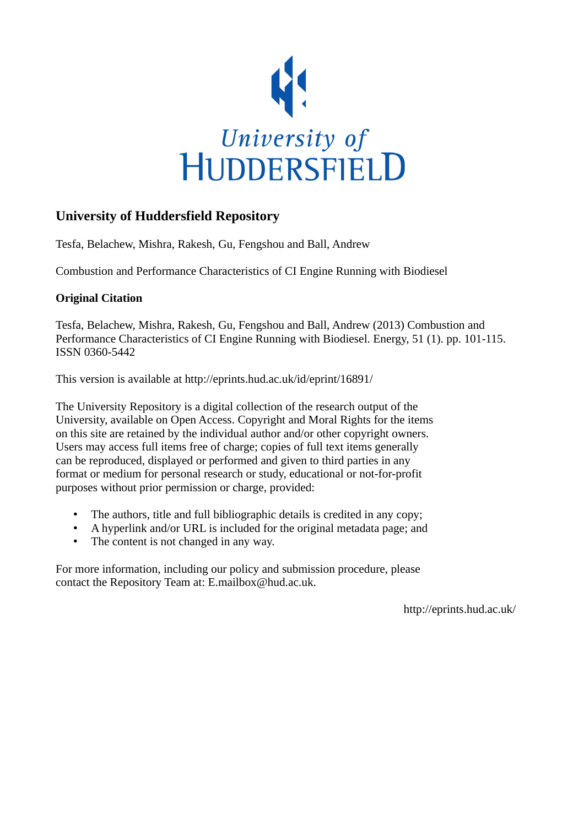

# **University of Huddersfield Repository**

Tesfa, Belachew, Mishra, Rakesh, Gu, Fengshou and Ball, Andrew

Combustion and Performance Characteristics of CI Engine Running with Biodiesel

### **Original Citation**

Tesfa, Belachew, Mishra, Rakesh, Gu, Fengshou and Ball, Andrew (2013) Combustion and Performance Characteristics of CI Engine Running with Biodiesel. Energy, 51 (1). pp. 101-115. ISSN 0360-5442

This version is available at http://eprints.hud.ac.uk/id/eprint/16891/

The University Repository is a digital collection of the research output of the University, available on Open Access. Copyright and Moral Rights for the items on this site are retained by the individual author and/or other copyright owners. Users may access full items free of charge; copies of full text items generally can be reproduced, displayed or performed and given to third parties in any format or medium for personal research or study, educational or not-for-profit purposes without prior permission or charge, provided:

- The authors, title and full bibliographic details is credited in any copy;
- A hyperlink and/or URL is included for the original metadata page; and
- The content is not changed in any way.

For more information, including our policy and submission procedure, please contact the Repository Team at: E.mailbox@hud.ac.uk.

http://eprints.hud.ac.uk/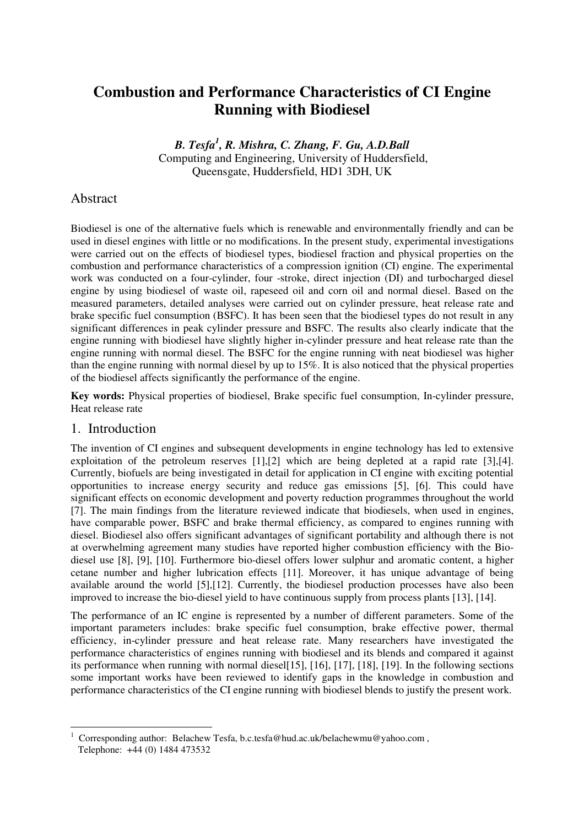# **Combustion and Performance Characteristics of CI Engine Running with Biodiesel**

*B. Tesfa<sup>1</sup> , R. Mishra, C. Zhang, F. Gu, A.D.Ball* Computing and Engineering, University of Huddersfield, Queensgate, Huddersfield, HD1 3DH, UK

### Abstract

Biodiesel is one of the alternative fuels which is renewable and environmentally friendly and can be used in diesel engines with little or no modifications. In the present study, experimental investigations were carried out on the effects of biodiesel types, biodiesel fraction and physical properties on the combustion and performance characteristics of a compression ignition (CI) engine. The experimental work was conducted on a four-cylinder, four -stroke, direct injection (DI) and turbocharged diesel engine by using biodiesel of waste oil, rapeseed oil and corn oil and normal diesel. Based on the measured parameters, detailed analyses were carried out on cylinder pressure, heat release rate and brake specific fuel consumption (BSFC). It has been seen that the biodiesel types do not result in any significant differences in peak cylinder pressure and BSFC. The results also clearly indicate that the engine running with biodiesel have slightly higher in-cylinder pressure and heat release rate than the engine running with normal diesel. The BSFC for the engine running with neat biodiesel was higher than the engine running with normal diesel by up to 15%. It is also noticed that the physical properties of the biodiesel affects significantly the performance of the engine.

**Key words:** Physical properties of biodiesel, Brake specific fuel consumption, In-cylinder pressure, Heat release rate

#### 1. Introduction

 $\overline{a}$ 

The invention of CI engines and subsequent developments in engine technology has led to extensive exploitation of the petroleum reserves [1],[2] which are being depleted at a rapid rate [3],[4]. Currently, biofuels are being investigated in detail for application in CI engine with exciting potential opportunities to increase energy security and reduce gas emissions [5], [6]. This could have significant effects on economic development and poverty reduction programmes throughout the world [7]. The main findings from the literature reviewed indicate that biodiesels, when used in engines, have comparable power, BSFC and brake thermal efficiency, as compared to engines running with diesel. Biodiesel also offers significant advantages of significant portability and although there is not at overwhelming agreement many studies have reported higher combustion efficiency with the Biodiesel use [8], [9], [10]. Furthermore bio-diesel offers lower sulphur and aromatic content, a higher cetane number and higher lubrication effects [11]. Moreover, it has unique advantage of being available around the world [5],[12]. Currently, the biodiesel production processes have also been improved to increase the bio-diesel yield to have continuous supply from process plants [13], [14].

The performance of an IC engine is represented by a number of different parameters. Some of the important parameters includes: brake specific fuel consumption, brake effective power, thermal efficiency, in-cylinder pressure and heat release rate. Many researchers have investigated the performance characteristics of engines running with biodiesel and its blends and compared it against its performance when running with normal diesel[15], [16], [17], [18], [19]. In the following sections some important works have been reviewed to identify gaps in the knowledge in combustion and performance characteristics of the CI engine running with biodiesel blends to justify the present work.

<sup>1</sup> Corresponding author: Belachew Tesfa, b.c.tesfa@hud.ac.uk/belachewmu@yahoo.com , Telephone: +44 (0) 1484 473532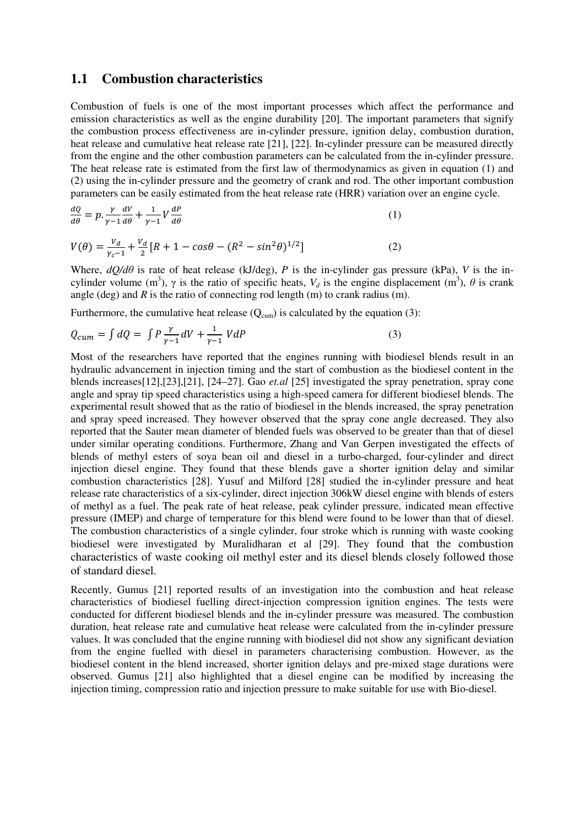#### **1.1 Combustion characteristics**

Combustion of fuels is one of the most important processes which affect the performance and emission characteristics as well as the engine durability [20]. The important parameters that signify the combustion process effectiveness are in-cylinder pressure, ignition delay, combustion duration, heat release and cumulative heat release rate [21], [22]. In-cylinder pressure can be measured directly from the engine and the other combustion parameters can be calculated from the in-cylinder pressure. The heat release rate is estimated from the first law of thermodynamics as given in equation (1) and (2) using the in-cylinder pressure and the geometry of crank and rod. The other important combustion parameters can be easily estimated from the heat release rate (HRR) variation over an engine cycle.

$$
\frac{dQ}{d\theta} = p \cdot \frac{\gamma}{\gamma - 1} \frac{dV}{d\theta} + \frac{1}{\gamma - 1} V \frac{dP}{d\theta} \tag{1}
$$

$$
V(\theta) = \frac{v_d}{\gamma_c - 1} + \frac{v_d}{2} [R + 1 - \cos\theta - (R^2 - \sin^2\theta)^{1/2}]
$$
 (2)

Where,  $dQ/d\theta$  is rate of heat release (kJ/deg), *P* is the in-cylinder gas pressure (kPa), *V* is the incylinder volume (m<sup>3</sup>),  $\gamma$  is the ratio of specific heats,  $V_d$  is the engine displacement (m<sup>3</sup>),  $\theta$  is crank angle (deg) and *R* is the ratio of connecting rod length (m) to crank radius (m).

Furthermore, the cumulative heat release  $(Q<sub>cum</sub>)$  is calculated by the equation (3):

$$
Q_{cum} = \int dQ = \int P \frac{\gamma}{\gamma - 1} dV + \frac{1}{\gamma - 1} V dP \tag{3}
$$

Most of the researchers have reported that the engines running with biodiesel blends result in an hydraulic advancement in injection timing and the start of combustion as the biodiesel content in the blends increases[12],[23],[21], [24–27]. Gao *et.al* [25] investigated the spray penetration, spray cone angle and spray tip speed characteristics using a high-speed camera for different biodiesel blends. The experimental result showed that as the ratio of biodiesel in the blends increased, the spray penetration and spray speed increased. They however observed that the spray cone angle decreased. They also reported that the Sauter mean diameter of blended fuels was observed to be greater than that of diesel under similar operating conditions. Furthermore, Zhang and Van Gerpen investigated the effects of blends of methyl esters of soya bean oil and diesel in a turbo-charged, four-cylinder and direct injection diesel engine. They found that these blends gave a shorter ignition delay and similar combustion characteristics [28]. Yusuf and Milford [28] studied the in-cylinder pressure and heat release rate characteristics of a six-cylinder, direct injection 306kW diesel engine with blends of esters of methyl as a fuel. The peak rate of heat release, peak cylinder pressure, indicated mean effective pressure (IMEP) and charge of temperature for this blend were found to be lower than that of diesel. The combustion characteristics of a single cylinder, four stroke which is running with waste cooking biodiesel were investigated by Muralidharan et al [29]. They found that the combustion characteristics of waste cooking oil methyl ester and its diesel blends closely followed those of standard diesel.

Recently, Gumus [21] reported results of an investigation into the combustion and heat release characteristics of biodiesel fuelling direct-injection compression ignition engines. The tests were conducted for different biodiesel blends and the in-cylinder pressure was measured. The combustion duration, heat release rate and cumulative heat release were calculated from the in-cylinder pressure values. It was concluded that the engine running with biodiesel did not show any significant deviation from the engine fuelled with diesel in parameters characterising combustion. However, as the biodiesel content in the blend increased, shorter ignition delays and pre-mixed stage durations were observed. Gumus [21] also highlighted that a diesel engine can be modified by increasing the injection timing, compression ratio and injection pressure to make suitable for use with Bio-diesel.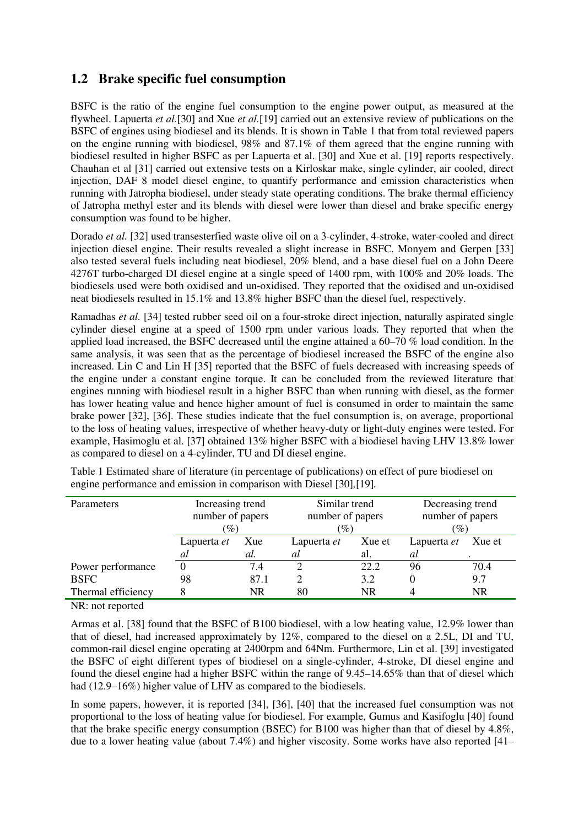## **1.2 Brake specific fuel consumption**

BSFC is the ratio of the engine fuel consumption to the engine power output, as measured at the flywheel. Lapuerta *et al.*[30] and Xue *et al.*[19] carried out an extensive review of publications on the BSFC of engines using biodiesel and its blends. It is shown in Table 1 that from total reviewed papers on the engine running with biodiesel, 98% and 87.1% of them agreed that the engine running with biodiesel resulted in higher BSFC as per Lapuerta et al. [30] and Xue et al. [19] reports respectively. Chauhan et al [31] carried out extensive tests on a Kirloskar make, single cylinder, air cooled, direct injection, DAF 8 model diesel engine, to quantify performance and emission characteristics when running with Jatropha biodiesel, under steady state operating conditions. The brake thermal efficiency of Jatropha methyl ester and its blends with diesel were lower than diesel and brake specific energy consumption was found to be higher.

Dorado *et al.* [32] used transesterfied waste olive oil on a 3-cylinder, 4-stroke, water-cooled and direct injection diesel engine. Their results revealed a slight increase in BSFC. Monyem and Gerpen [33] also tested several fuels including neat biodiesel, 20% blend, and a base diesel fuel on a John Deere 4276T turbo-charged DI diesel engine at a single speed of 1400 rpm, with 100% and 20% loads. The biodiesels used were both oxidised and un-oxidised. They reported that the oxidised and un-oxidised neat biodiesels resulted in 15.1% and 13.8% higher BSFC than the diesel fuel, respectively.

Ramadhas *et al.* [34] tested rubber seed oil on a four-stroke direct injection, naturally aspirated single cylinder diesel engine at a speed of 1500 rpm under various loads. They reported that when the applied load increased, the BSFC decreased until the engine attained a 60–70 % load condition. In the same analysis, it was seen that as the percentage of biodiesel increased the BSFC of the engine also increased. Lin C and Lin H [35] reported that the BSFC of fuels decreased with increasing speeds of the engine under a constant engine torque. It can be concluded from the reviewed literature that engines running with biodiesel result in a higher BSFC than when running with diesel, as the former has lower heating value and hence higher amount of fuel is consumed in order to maintain the same brake power [32], [36]. These studies indicate that the fuel consumption is, on average, proportional to the loss of heating values, irrespective of whether heavy-duty or light-duty engines were tested. For example, Hasimoglu et al. [37] obtained 13% higher BSFC with a biodiesel having LHV 13.8% lower as compared to diesel on a 4-cylinder, TU and DI diesel engine.

| Parameters         | Increasing trend |      | Similar trend |                  | Decreasing trend |                     |  |
|--------------------|------------------|------|---------------|------------------|------------------|---------------------|--|
|                    | number of papers |      |               | number of papers |                  | number of papers    |  |
|                    | $\mathscr{G}_o$  |      |               | $\mathscr{G}_o$  |                  | $\left( \% \right)$ |  |
|                    | Lapuerta et      | Xue  | Lapuerta et   | Xue et           | Lapuerta et      | Xue et              |  |
|                    | at               | ʻal. | al            | al.              | al               |                     |  |
| Power performance  |                  | 7.4  |               | 22.2             | 96               | 70.4                |  |
| <b>BSFC</b>        | 98               | 87.1 |               | 3.2              |                  | 9.7                 |  |
| Thermal efficiency |                  | NR   | 80            | <b>NR</b>        |                  | <b>NR</b>           |  |

Table 1 Estimated share of literature (in percentage of publications) on effect of pure biodiesel on engine performance and emission in comparison with Diesel [30]*,*[19]*.*

NR: not reported

Armas et al. [38] found that the BSFC of B100 biodiesel, with a low heating value, 12.9% lower than that of diesel, had increased approximately by 12%, compared to the diesel on a 2.5L, DI and TU, common-rail diesel engine operating at 2400rpm and 64Nm. Furthermore, Lin et al. [39] investigated the BSFC of eight different types of biodiesel on a single-cylinder, 4-stroke, DI diesel engine and found the diesel engine had a higher BSFC within the range of 9.45–14.65% than that of diesel which had (12.9–16%) higher value of LHV as compared to the biodiesels.

In some papers, however, it is reported [34], [36], [40] that the increased fuel consumption was not proportional to the loss of heating value for biodiesel. For example, Gumus and Kasifoglu [40] found that the brake specific energy consumption (BSEC) for B100 was higher than that of diesel by 4.8%, due to a lower heating value (about 7.4%) and higher viscosity. Some works have also reported [41–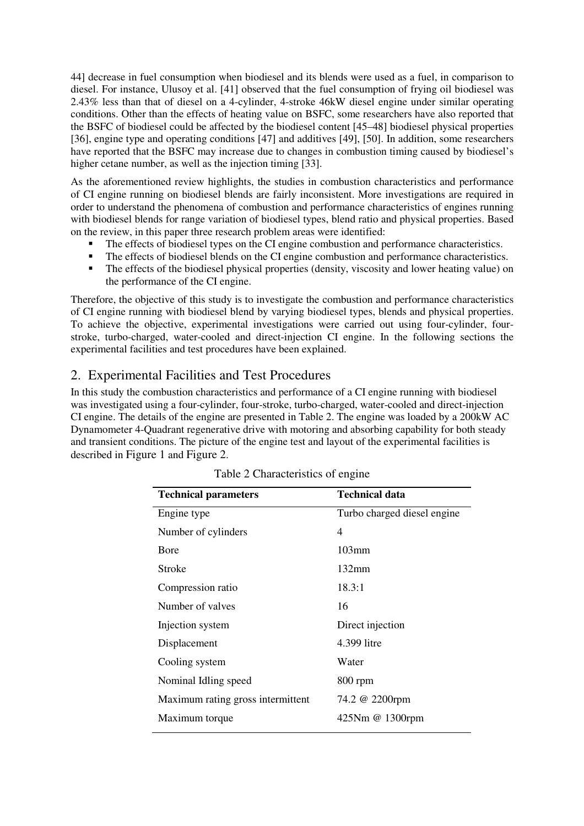44] decrease in fuel consumption when biodiesel and its blends were used as a fuel, in comparison to diesel. For instance, Ulusoy et al. [41] observed that the fuel consumption of frying oil biodiesel was 2.43% less than that of diesel on a 4-cylinder, 4-stroke 46kW diesel engine under similar operating conditions. Other than the effects of heating value on BSFC, some researchers have also reported that the BSFC of biodiesel could be affected by the biodiesel content [45–48] biodiesel physical properties [36], engine type and operating conditions [47] and additives [49], [50]. In addition, some researchers have reported that the BSFC may increase due to changes in combustion timing caused by biodiesel's higher cetane number, as well as the injection timing [33].

As the aforementioned review highlights, the studies in combustion characteristics and performance of CI engine running on biodiesel blends are fairly inconsistent. More investigations are required in order to understand the phenomena of combustion and performance characteristics of engines running with biodiesel blends for range variation of biodiesel types, blend ratio and physical properties. Based on the review, in this paper three research problem areas were identified:

- The effects of biodiesel types on the CI engine combustion and performance characteristics.
- The effects of biodiesel blends on the CI engine combustion and performance characteristics.
- The effects of the biodiesel physical properties (density, viscosity and lower heating value) on the performance of the CI engine.

Therefore, the objective of this study is to investigate the combustion and performance characteristics of CI engine running with biodiesel blend by varying biodiesel types, blends and physical properties. To achieve the objective, experimental investigations were carried out using four-cylinder, fourstroke, turbo-charged, water-cooled and direct-injection CI engine. In the following sections the experimental facilities and test procedures have been explained.

### 2. Experimental Facilities and Test Procedures

In this study the combustion characteristics and performance of a CI engine running with biodiesel was investigated using a four-cylinder, four-stroke, turbo-charged, water-cooled and direct-injection CI engine. The details of the engine are presented in Table 2. The engine was loaded by a 200kW AC Dynamometer 4-Quadrant regenerative drive with motoring and absorbing capability for both steady and transient conditions. The picture of the engine test and layout of the experimental facilities is described in Figure 1 and Figure 2.

| <b>Technical parameters</b>       | <b>Technical data</b>       |
|-----------------------------------|-----------------------------|
| Engine type                       | Turbo charged diesel engine |
| Number of cylinders               | 4                           |
| <b>B</b> ore                      | $103$ mm                    |
| Stroke                            | $132 \text{mm}$             |
| Compression ratio                 | 18.3:1                      |
| Number of valves                  | 16                          |
| Injection system                  | Direct injection            |
| Displacement                      | 4.399 litre                 |
| Cooling system                    | Water                       |
| Nominal Idling speed              | $800$ rpm                   |
| Maximum rating gross intermittent | 74.2 @ 2200rpm              |
| Maximum torque                    | 425Nm @ 1300rpm             |

|  | Table 2 Characteristics of engine |  |  |  |
|--|-----------------------------------|--|--|--|
|--|-----------------------------------|--|--|--|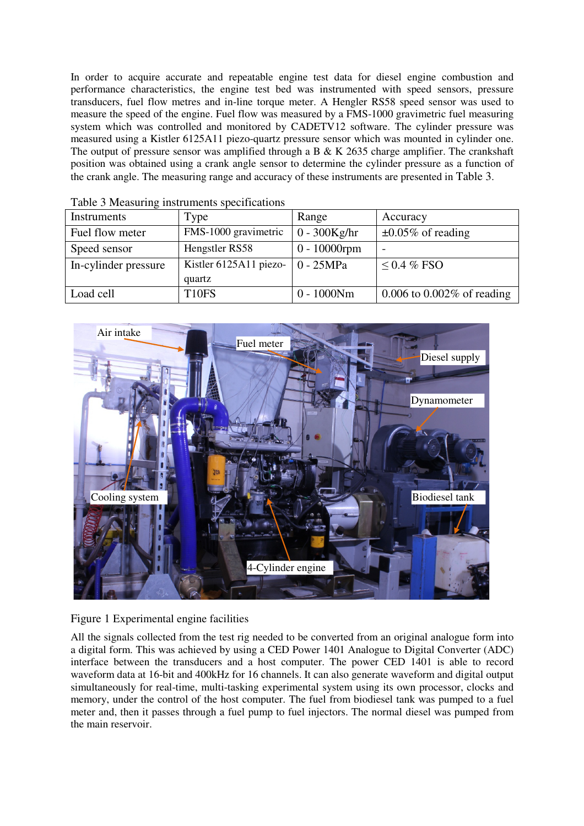In order to acquire accurate and repeatable engine test data for diesel engine combustion and performance characteristics, the engine test bed was instrumented with speed sensors, pressure transducers, fuel flow metres and in-line torque meter. A Hengler RS58 speed sensor was used to measure the speed of the engine. Fuel flow was measured by a FMS-1000 gravimetric fuel measuring system which was controlled and monitored by CADETV12 software. The cylinder pressure was measured using a Kistler 6125A11 piezo-quartz pressure sensor which was mounted in cylinder one. The output of pressure sensor was amplified through a B & K 2635 charge amplifier. The crankshaft position was obtained using a crank angle sensor to determine the cylinder pressure as a function of the crank angle. The measuring range and accuracy of these instruments are presented in Table 3.

| Instruments          | Type                                           | Range           | Accuracy                        |
|----------------------|------------------------------------------------|-----------------|---------------------------------|
| Fuel flow meter      | FMS-1000 gravimetric                           | $0 - 300Kg/hr$  | $\pm 0.05\%$ of reading         |
| Speed sensor         | Hengstler RS58                                 | $0 - 10000$ rpm | $\overline{\phantom{a}}$        |
| In-cylinder pressure | Kistler 6125A11 piezo- $\vert 0 - 25MPa \vert$ |                 | $\leq$ 0.4 % FSO                |
|                      | quartz                                         |                 |                                 |
| Load cell            | T <sub>10FS</sub>                              | $0 - 1000Nm$    | $0.006$ to $0.002\%$ of reading |

Table 3 Measuring instruments specifications



#### Figure 1 Experimental engine facilities

All the signals collected from the test rig needed to be converted from an original analogue form into a digital form. This was achieved by using a CED Power 1401 Analogue to Digital Converter (ADC) interface between the transducers and a host computer. The power CED 1401 is able to record waveform data at 16-bit and 400kHz for 16 channels. It can also generate waveform and digital output simultaneously for real-time, multi-tasking experimental system using its own processor, clocks and memory, under the control of the host computer. The fuel from biodiesel tank was pumped to a fuel meter and, then it passes through a fuel pump to fuel injectors. The normal diesel was pumped from the main reservoir.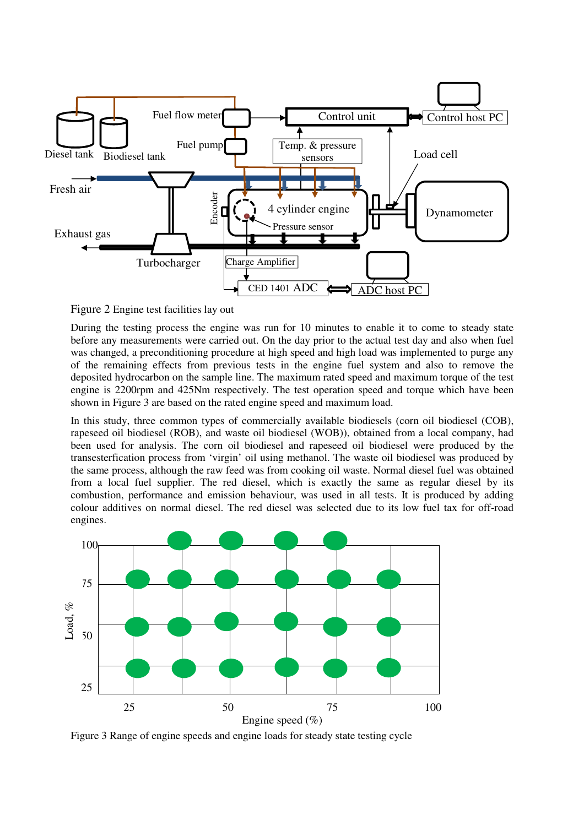

Figure 2 Engine test facilities lay out

During the testing process the engine was run for 10 minutes to enable it to come to steady state before any measurements were carried out. On the day prior to the actual test day and also when fuel was changed, a preconditioning procedure at high speed and high load was implemented to purge any of the remaining effects from previous tests in the engine fuel system and also to remove the deposited hydrocarbon on the sample line. The maximum rated speed and maximum torque of the test engine is 2200rpm and 425Nm respectively. The test operation speed and torque which have been shown in Figure 3 are based on the rated engine speed and maximum load.

In this study, three common types of commercially available biodiesels (corn oil biodiesel (COB), rapeseed oil biodiesel (ROB), and waste oil biodiesel (WOB)), obtained from a local company, had been used for analysis. The corn oil biodiesel and rapeseed oil biodiesel were produced by the transesterfication process from 'virgin' oil using methanol. The waste oil biodiesel was produced by the same process, although the raw feed was from cooking oil waste. Normal diesel fuel was obtained from a local fuel supplier. The red diesel, which is exactly the same as regular diesel by its combustion, performance and emission behaviour, was used in all tests. It is produced by adding colour additives on normal diesel. The red diesel was selected due to its low fuel tax for off-road engines.



Figure 3 Range of engine speeds and engine loads for steady state testing cycle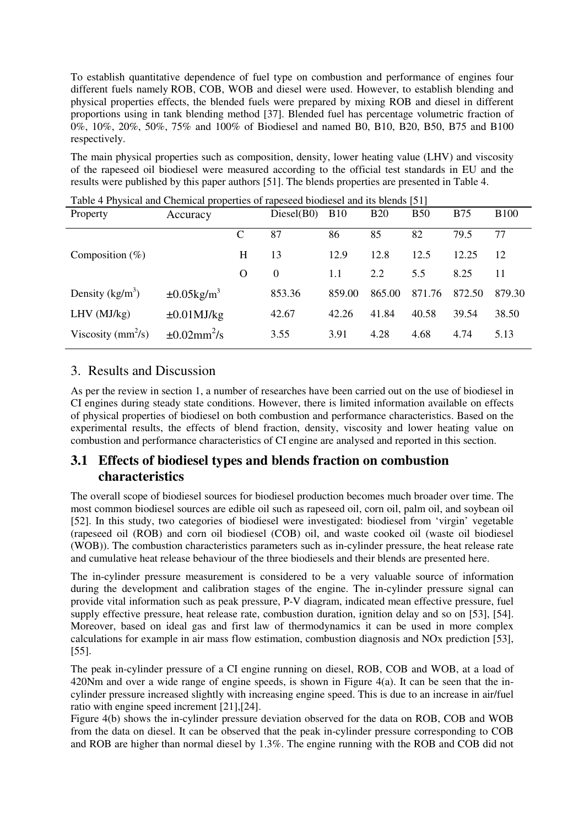To establish quantitative dependence of fuel type on combustion and performance of engines four different fuels namely ROB, COB, WOB and diesel were used. However, to establish blending and physical properties effects, the blended fuels were prepared by mixing ROB and diesel in different proportions using in tank blending method [37]. Blended fuel has percentage volumetric fraction of 0%, 10%, 20%, 50%, 75% and 100% of Biodiesel and named B0, B10, B20, B50, B75 and B100 respectively.

The main physical properties such as composition, density, lower heating value (LHV) and viscosity of the rapeseed oil biodiesel were measured according to the official test standards in EU and the results were published by this paper authors [51]. The blends properties are presented in Table 4.

| Tuble + I hysical and Chemical properties of rapesced biodicser and his biends [51]<br>Property | Accuracy                      |   | Diesel(B0) | <b>B10</b> | <b>B20</b> | <b>B50</b> | <b>B75</b> | <b>B100</b> |
|-------------------------------------------------------------------------------------------------|-------------------------------|---|------------|------------|------------|------------|------------|-------------|
|                                                                                                 |                               | C | 87         | 86         | 85         | 82         | 79.5       | 77          |
| Composition $(\%)$                                                                              |                               | H | 13         | 12.9       | 12.8       | 12.5       | 12.25      | 12          |
|                                                                                                 |                               | O | $\Omega$   | 1.1        | 2.2        | 5.5        | 8.25       | 11          |
| Density $(kg/m^3)$                                                                              | $\pm 0.05$ kg/m <sup>3</sup>  |   | 853.36     | 859.00     | 865.00     | 871.76     | 872.50     | 879.30      |
| LHV (MJ/kg)                                                                                     | $\pm 0.01$ MJ/kg              |   | 42.67      | 42.26      | 41.84      | 40.58      | 39.54      | 38.50       |
| Viscosity ( $mm^2/s$ )                                                                          | $\pm 0.02$ mm <sup>2</sup> /s |   | 3.55       | 3.91       | 4.28       | 4.68       | 4.74       | 5.13        |

Table 4 Physical and Chemical properties of rapeseed biodiesel and its blends [51]

### 3. Results and Discussion

As per the review in section 1, a number of researches have been carried out on the use of biodiesel in CI engines during steady state conditions. However, there is limited information available on effects of physical properties of biodiesel on both combustion and performance characteristics. Based on the experimental results, the effects of blend fraction, density, viscosity and lower heating value on combustion and performance characteristics of CI engine are analysed and reported in this section.

### **3.1 Effects of biodiesel types and blends fraction on combustion characteristics**

The overall scope of biodiesel sources for biodiesel production becomes much broader over time. The most common biodiesel sources are edible oil such as rapeseed oil, corn oil, palm oil, and soybean oil [52]. In this study, two categories of biodiesel were investigated: biodiesel from 'virgin' vegetable (rapeseed oil (ROB) and corn oil biodiesel (COB) oil, and waste cooked oil (waste oil biodiesel (WOB)). The combustion characteristics parameters such as in-cylinder pressure, the heat release rate and cumulative heat release behaviour of the three biodiesels and their blends are presented here.

The in-cylinder pressure measurement is considered to be a very valuable source of information during the development and calibration stages of the engine. The in-cylinder pressure signal can provide vital information such as peak pressure, P-V diagram, indicated mean effective pressure, fuel supply effective pressure, heat release rate, combustion duration, ignition delay and so on [53], [54]. Moreover, based on ideal gas and first law of thermodynamics it can be used in more complex calculations for example in air mass flow estimation, combustion diagnosis and NOx prediction [53], [55].

The peak in-cylinder pressure of a CI engine running on diesel, ROB, COB and WOB, at a load of 420Nm and over a wide range of engine speeds, is shown in Figure 4(a). It can be seen that the incylinder pressure increased slightly with increasing engine speed. This is due to an increase in air/fuel ratio with engine speed increment [21],[24].

Figure 4(b) shows the in-cylinder pressure deviation observed for the data on ROB, COB and WOB from the data on diesel. It can be observed that the peak in-cylinder pressure corresponding to COB and ROB are higher than normal diesel by 1.3%. The engine running with the ROB and COB did not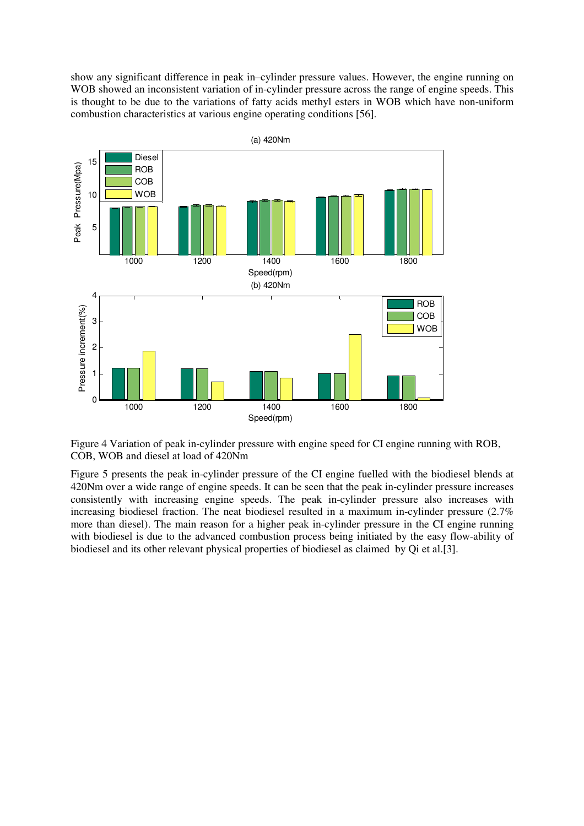show any significant difference in peak in–cylinder pressure values. However, the engine running on WOB showed an inconsistent variation of in-cylinder pressure across the range of engine speeds. This is thought to be due to the variations of fatty acids methyl esters in WOB which have non-uniform combustion characteristics at various engine operating conditions [56].



Figure 4 Variation of peak in-cylinder pressure with engine speed for CI engine running with ROB, COB, WOB and diesel at load of 420Nm

Figure 5 presents the peak in-cylinder pressure of the CI engine fuelled with the biodiesel blends at 420Nm over a wide range of engine speeds. It can be seen that the peak in-cylinder pressure increases consistently with increasing engine speeds. The peak in-cylinder pressure also increases with increasing biodiesel fraction. The neat biodiesel resulted in a maximum in-cylinder pressure (2.7% more than diesel). The main reason for a higher peak in-cylinder pressure in the CI engine running with biodiesel is due to the advanced combustion process being initiated by the easy flow-ability of biodiesel and its other relevant physical properties of biodiesel as claimed by Qi et al.[3].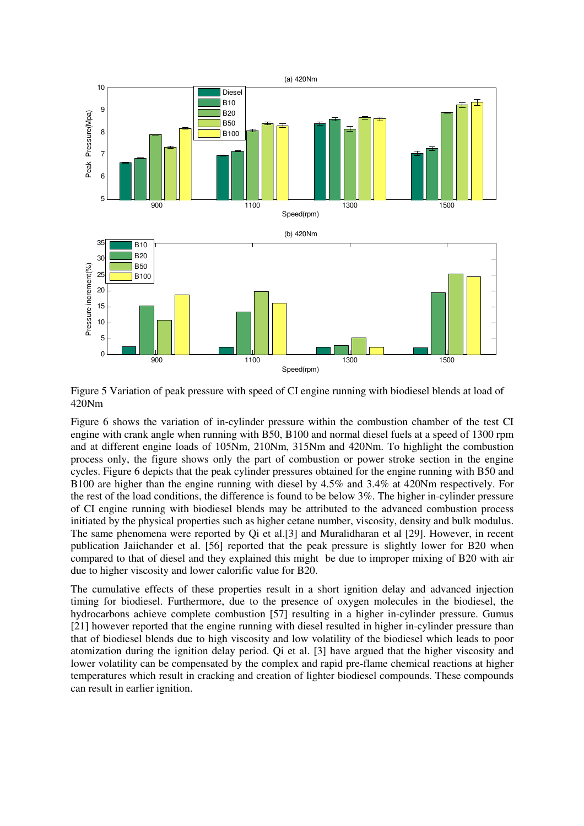

Figure 5 Variation of peak pressure with speed of CI engine running with biodiesel blends at load of 420Nm

Figure 6 shows the variation of in-cylinder pressure within the combustion chamber of the test CI engine with crank angle when running with B50, B100 and normal diesel fuels at a speed of 1300 rpm and at different engine loads of 105Nm, 210Nm, 315Nm and 420Nm. To highlight the combustion process only, the figure shows only the part of combustion or power stroke section in the engine cycles. Figure 6 depicts that the peak cylinder pressures obtained for the engine running with B50 and B100 are higher than the engine running with diesel by 4.5% and 3.4% at 420Nm respectively. For the rest of the load conditions, the difference is found to be below 3%. The higher in-cylinder pressure of CI engine running with biodiesel blends may be attributed to the advanced combustion process initiated by the physical properties such as higher cetane number, viscosity, density and bulk modulus. The same phenomena were reported by Qi et al.[3] and Muralidharan et al [29]. However, in recent publication Jaiichander et al. [56] reported that the peak pressure is slightly lower for B20 when compared to that of diesel and they explained this might be due to improper mixing of B20 with air due to higher viscosity and lower calorific value for B20.

The cumulative effects of these properties result in a short ignition delay and advanced injection timing for biodiesel. Furthermore, due to the presence of oxygen molecules in the biodiesel, the hydrocarbons achieve complete combustion [57] resulting in a higher in-cylinder pressure. Gumus [21] however reported that the engine running with diesel resulted in higher in-cylinder pressure than that of biodiesel blends due to high viscosity and low volatility of the biodiesel which leads to poor atomization during the ignition delay period. Qi et al. [3] have argued that the higher viscosity and lower volatility can be compensated by the complex and rapid pre-flame chemical reactions at higher temperatures which result in cracking and creation of lighter biodiesel compounds. These compounds can result in earlier ignition.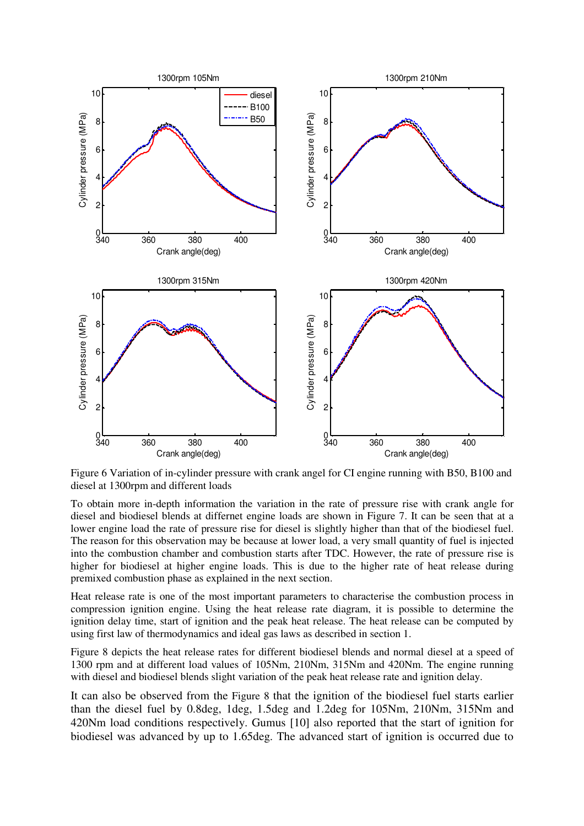

Figure 6 Variation of in-cylinder pressure with crank angel for CI engine running with B50, B100 and diesel at 1300rpm and different loads

To obtain more in-depth information the variation in the rate of pressure rise with crank angle for diesel and biodiesel blends at differnet engine loads are shown in Figure 7. It can be seen that at a lower engine load the rate of pressure rise for diesel is slightly higher than that of the biodiesel fuel. The reason for this observation may be because at lower load, a very small quantity of fuel is injected into the combustion chamber and combustion starts after TDC. However, the rate of pressure rise is higher for biodiesel at higher engine loads. This is due to the higher rate of heat release during premixed combustion phase as explained in the next section.

Heat release rate is one of the most important parameters to characterise the combustion process in compression ignition engine. Using the heat release rate diagram, it is possible to determine the ignition delay time, start of ignition and the peak heat release. The heat release can be computed by using first law of thermodynamics and ideal gas laws as described in section 1.

Figure 8 depicts the heat release rates for different biodiesel blends and normal diesel at a speed of 1300 rpm and at different load values of 105Nm, 210Nm, 315Nm and 420Nm. The engine running with diesel and biodiesel blends slight variation of the peak heat release rate and ignition delay.

It can also be observed from the Figure 8 that the ignition of the biodiesel fuel starts earlier than the diesel fuel by 0.8deg, 1deg, 1.5deg and 1.2deg for 105Nm, 210Nm, 315Nm and 420Nm load conditions respectively. Gumus [10] also reported that the start of ignition for biodiesel was advanced by up to 1.65deg. The advanced start of ignition is occurred due to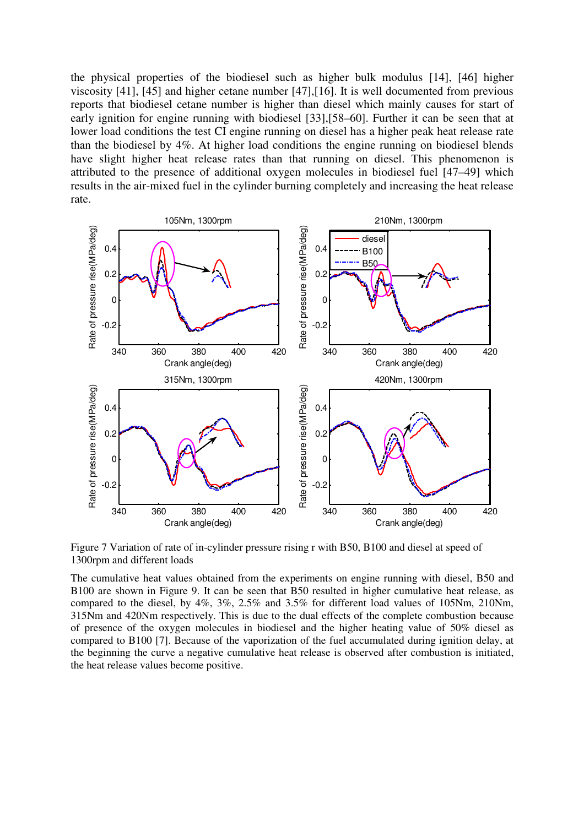the physical properties of the biodiesel such as higher bulk modulus [14], [46] higher viscosity [41], [45] and higher cetane number [47],[16]. It is well documented from previous reports that biodiesel cetane number is higher than diesel which mainly causes for start of early ignition for engine running with biodiesel [33],[58–60]. Further it can be seen that at lower load conditions the test CI engine running on diesel has a higher peak heat release rate than the biodiesel by 4%. At higher load conditions the engine running on biodiesel blends have slight higher heat release rates than that running on diesel. This phenomenon is attributed to the presence of additional oxygen molecules in biodiesel fuel [47–49] which results in the air-mixed fuel in the cylinder burning completely and increasing the heat release rate.



Figure 7 Variation of rate of in-cylinder pressure rising r with B50, B100 and diesel at speed of 1300rpm and different loads

The cumulative heat values obtained from the experiments on engine running with diesel, B50 and B100 are shown in Figure 9. It can be seen that B50 resulted in higher cumulative heat release, as compared to the diesel, by 4%, 3%, 2.5% and 3.5% for different load values of 105Nm, 210Nm, 315Nm and 420Nm respectively. This is due to the dual effects of the complete combustion because of presence of the oxygen molecules in biodiesel and the higher heating value of 50% diesel as compared to B100 [7]. Because of the vaporization of the fuel accumulated during ignition delay, at the beginning the curve a negative cumulative heat release is observed after combustion is initiated, the heat release values become positive.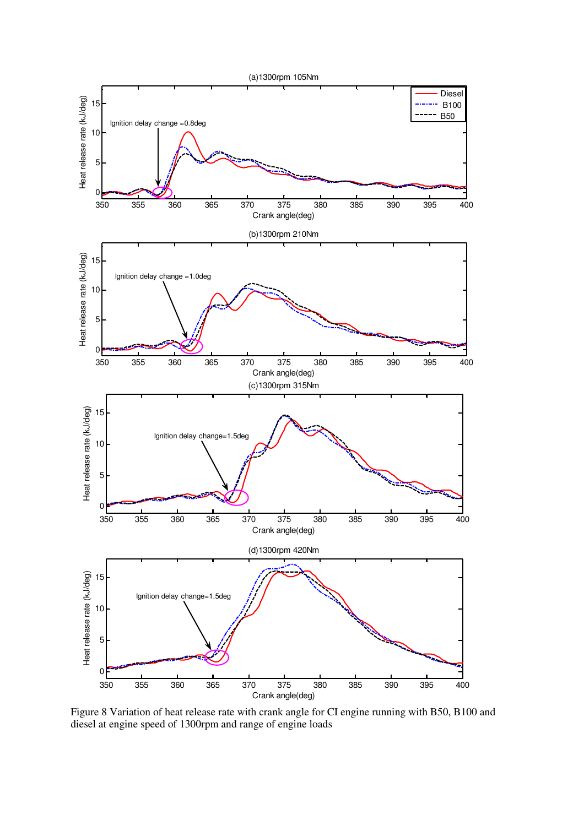

Figure 8 Variation of heat release rate with crank angle for CI engine running with B50, B100 and diesel at engine speed of 1300rpm and range of engine loads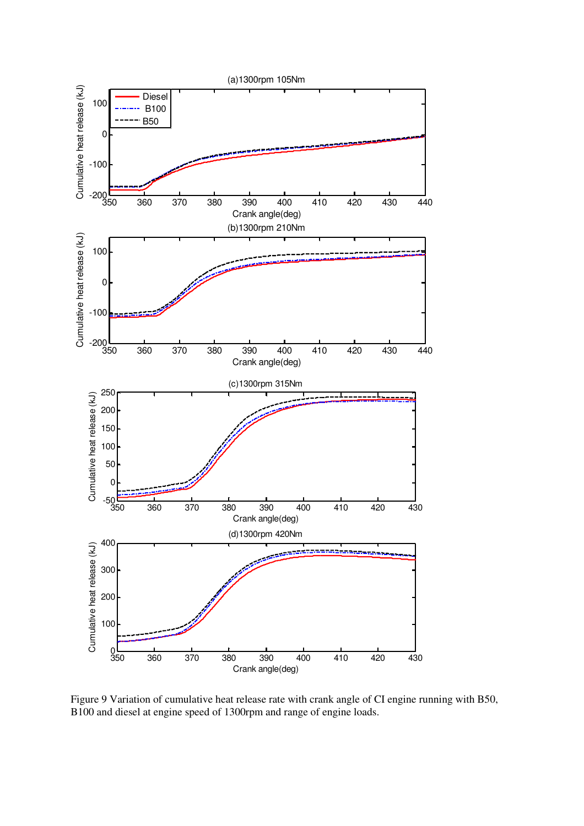

Figure 9 Variation of cumulative heat release rate with crank angle of CI engine running with B50, B100 and diesel at engine speed of 1300rpm and range of engine loads.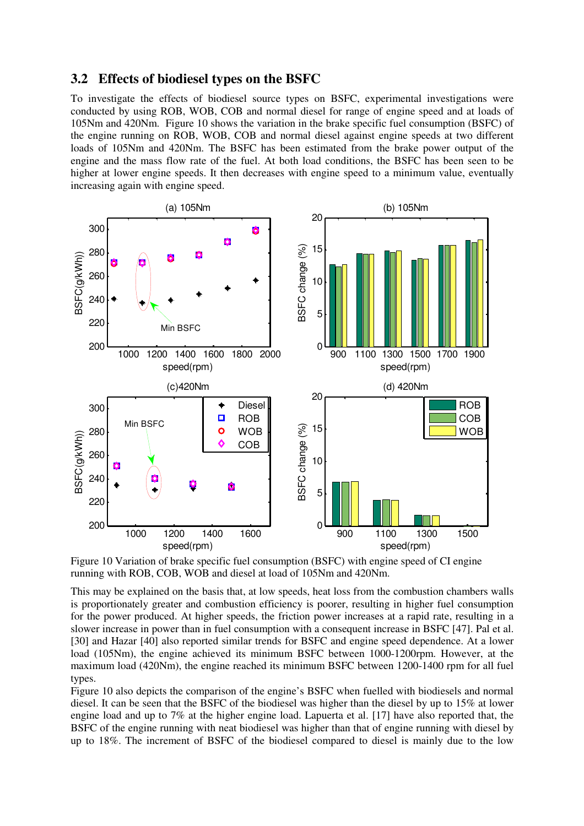#### **3.2 Effects of biodiesel types on the BSFC**

To investigate the effects of biodiesel source types on BSFC, experimental investigations were conducted by using ROB, WOB, COB and normal diesel for range of engine speed and at loads of 105Nm and 420Nm. Figure 10 shows the variation in the brake specific fuel consumption (BSFC) of the engine running on ROB, WOB, COB and normal diesel against engine speeds at two different loads of 105Nm and 420Nm. The BSFC has been estimated from the brake power output of the engine and the mass flow rate of the fuel. At both load conditions, the BSFC has been seen to be higher at lower engine speeds. It then decreases with engine speed to a minimum value, eventually increasing again with engine speed.



Figure 10 Variation of brake specific fuel consumption (BSFC) with engine speed of CI engine running with ROB, COB, WOB and diesel at load of 105Nm and 420Nm.

This may be explained on the basis that, at low speeds, heat loss from the combustion chambers walls is proportionately greater and combustion efficiency is poorer, resulting in higher fuel consumption for the power produced. At higher speeds, the friction power increases at a rapid rate, resulting in a slower increase in power than in fuel consumption with a consequent increase in BSFC [47]. Pal et al. [30] and Hazar [40] also reported similar trends for BSFC and engine speed dependence. At a lower load (105Nm), the engine achieved its minimum BSFC between 1000-1200rpm. However, at the maximum load (420Nm), the engine reached its minimum BSFC between 1200-1400 rpm for all fuel types.

Figure 10 also depicts the comparison of the engine's BSFC when fuelled with biodiesels and normal diesel. It can be seen that the BSFC of the biodiesel was higher than the diesel by up to 15% at lower engine load and up to 7% at the higher engine load. Lapuerta et al. [17] have also reported that, the BSFC of the engine running with neat biodiesel was higher than that of engine running with diesel by up to 18%. The increment of BSFC of the biodiesel compared to diesel is mainly due to the low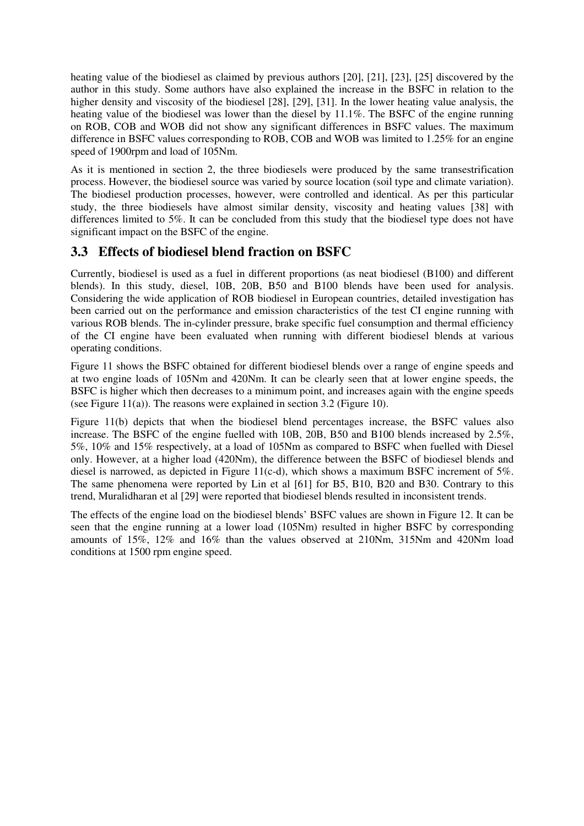heating value of the biodiesel as claimed by previous authors [20], [21], [23], [25] discovered by the author in this study. Some authors have also explained the increase in the BSFC in relation to the higher density and viscosity of the biodiesel [28], [29], [31]. In the lower heating value analysis, the heating value of the biodiesel was lower than the diesel by 11.1%. The BSFC of the engine running on ROB, COB and WOB did not show any significant differences in BSFC values. The maximum difference in BSFC values corresponding to ROB, COB and WOB was limited to 1.25% for an engine speed of 1900rpm and load of 105Nm.

As it is mentioned in section 2, the three biodiesels were produced by the same transestrification process. However, the biodiesel source was varied by source location (soil type and climate variation). The biodiesel production processes, however, were controlled and identical. As per this particular study, the three biodiesels have almost similar density, viscosity and heating values [38] with differences limited to 5%. It can be concluded from this study that the biodiesel type does not have significant impact on the BSFC of the engine.

### **3.3 Effects of biodiesel blend fraction on BSFC**

Currently, biodiesel is used as a fuel in different proportions (as neat biodiesel (B100) and different blends). In this study, diesel, 10B, 20B, B50 and B100 blends have been used for analysis. Considering the wide application of ROB biodiesel in European countries, detailed investigation has been carried out on the performance and emission characteristics of the test CI engine running with various ROB blends. The in-cylinder pressure, brake specific fuel consumption and thermal efficiency of the CI engine have been evaluated when running with different biodiesel blends at various operating conditions.

Figure 11 shows the BSFC obtained for different biodiesel blends over a range of engine speeds and at two engine loads of 105Nm and 420Nm. It can be clearly seen that at lower engine speeds, the BSFC is higher which then decreases to a minimum point, and increases again with the engine speeds (see Figure 11(a)). The reasons were explained in section 3.2 (Figure 10).

Figure 11(b) depicts that when the biodiesel blend percentages increase, the BSFC values also increase. The BSFC of the engine fuelled with 10B, 20B, B50 and B100 blends increased by 2.5%, 5%, 10% and 15% respectively, at a load of 105Nm as compared to BSFC when fuelled with Diesel only. However, at a higher load (420Nm), the difference between the BSFC of biodiesel blends and diesel is narrowed, as depicted in Figure 11(c-d), which shows a maximum BSFC increment of 5%. The same phenomena were reported by Lin et al [61] for B5, B10, B20 and B30. Contrary to this trend, Muralidharan et al [29] were reported that biodiesel blends resulted in inconsistent trends.

The effects of the engine load on the biodiesel blends' BSFC values are shown in Figure 12. It can be seen that the engine running at a lower load (105Nm) resulted in higher BSFC by corresponding amounts of 15%, 12% and 16% than the values observed at 210Nm, 315Nm and 420Nm load conditions at 1500 rpm engine speed.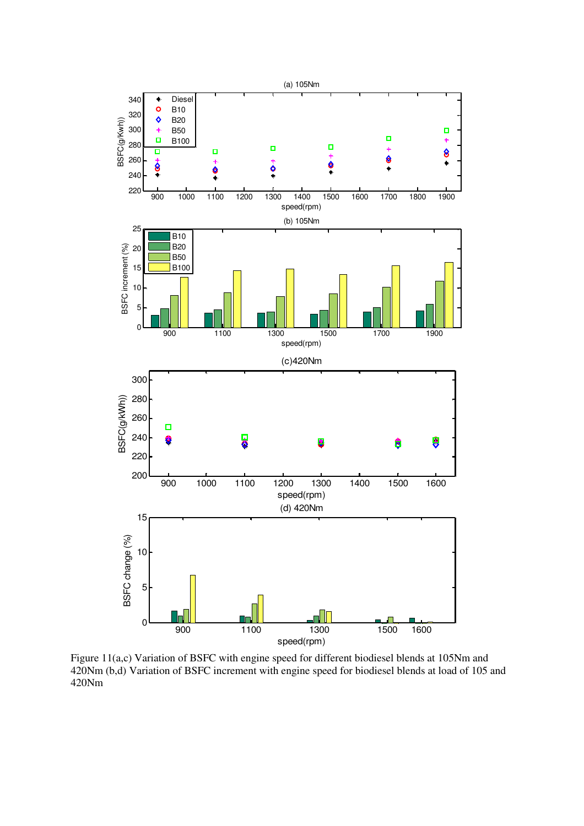

Figure 11(a,c) Variation of BSFC with engine speed for different biodiesel blends at 105Nm and 420Nm (b,d) Variation of BSFC increment with engine speed for biodiesel blends at load of 105 and 420Nm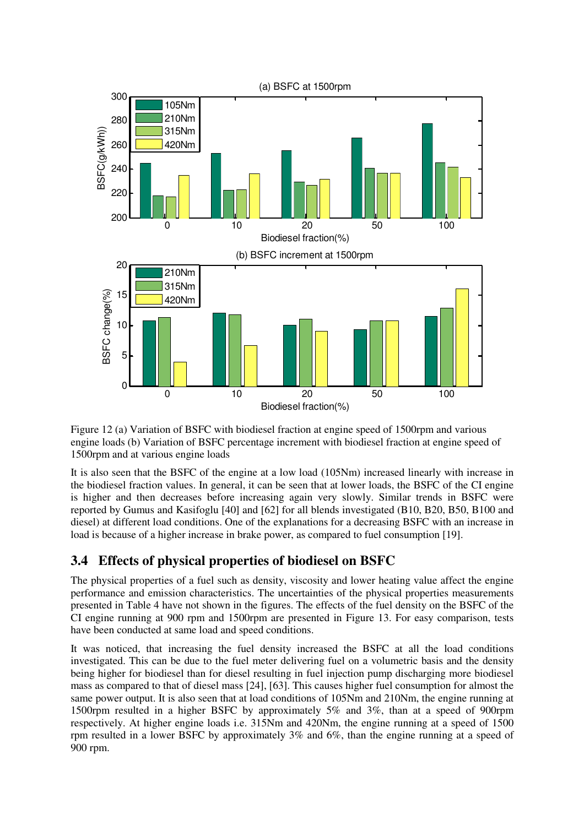

Figure 12 (a) Variation of BSFC with biodiesel fraction at engine speed of 1500rpm and various engine loads (b) Variation of BSFC percentage increment with biodiesel fraction at engine speed of 1500rpm and at various engine loads

It is also seen that the BSFC of the engine at a low load (105Nm) increased linearly with increase in the biodiesel fraction values. In general, it can be seen that at lower loads, the BSFC of the CI engine is higher and then decreases before increasing again very slowly. Similar trends in BSFC were reported by Gumus and Kasifoglu [40] and [62] for all blends investigated (B10, B20, B50, B100 and diesel) at different load conditions. One of the explanations for a decreasing BSFC with an increase in load is because of a higher increase in brake power, as compared to fuel consumption [19].

# **3.4 Effects of physical properties of biodiesel on BSFC**

The physical properties of a fuel such as density, viscosity and lower heating value affect the engine performance and emission characteristics. The uncertainties of the physical properties measurements presented in Table 4 have not shown in the figures. The effects of the fuel density on the BSFC of the CI engine running at 900 rpm and 1500rpm are presented in Figure 13. For easy comparison, tests have been conducted at same load and speed conditions.

It was noticed, that increasing the fuel density increased the BSFC at all the load conditions investigated. This can be due to the fuel meter delivering fuel on a volumetric basis and the density being higher for biodiesel than for diesel resulting in fuel injection pump discharging more biodiesel mass as compared to that of diesel mass [24], [63]. This causes higher fuel consumption for almost the same power output. It is also seen that at load conditions of 105Nm and 210Nm, the engine running at 1500rpm resulted in a higher BSFC by approximately 5% and 3%, than at a speed of 900rpm respectively. At higher engine loads i.e. 315Nm and 420Nm, the engine running at a speed of 1500 rpm resulted in a lower BSFC by approximately 3% and 6%, than the engine running at a speed of 900 rpm.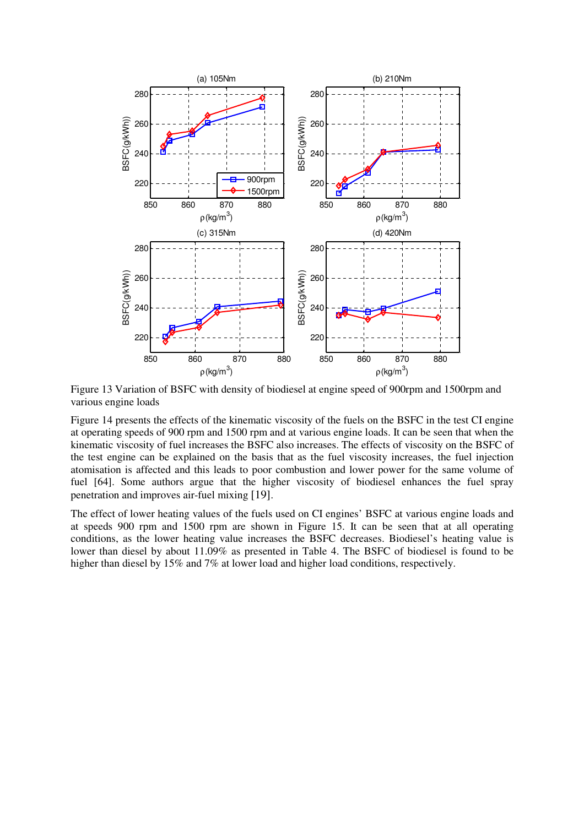

Figure 13 Variation of BSFC with density of biodiesel at engine speed of 900rpm and 1500rpm and various engine loads

Figure 14 presents the effects of the kinematic viscosity of the fuels on the BSFC in the test CI engine at operating speeds of 900 rpm and 1500 rpm and at various engine loads. It can be seen that when the kinematic viscosity of fuel increases the BSFC also increases. The effects of viscosity on the BSFC of the test engine can be explained on the basis that as the fuel viscosity increases, the fuel injection atomisation is affected and this leads to poor combustion and lower power for the same volume of fuel [64]. Some authors argue that the higher viscosity of biodiesel enhances the fuel spray penetration and improves air-fuel mixing [19].

The effect of lower heating values of the fuels used on CI engines' BSFC at various engine loads and at speeds 900 rpm and 1500 rpm are shown in Figure 15. It can be seen that at all operating conditions, as the lower heating value increases the BSFC decreases. Biodiesel's heating value is lower than diesel by about 11.09% as presented in Table 4. The BSFC of biodiesel is found to be higher than diesel by 15% and 7% at lower load and higher load conditions, respectively.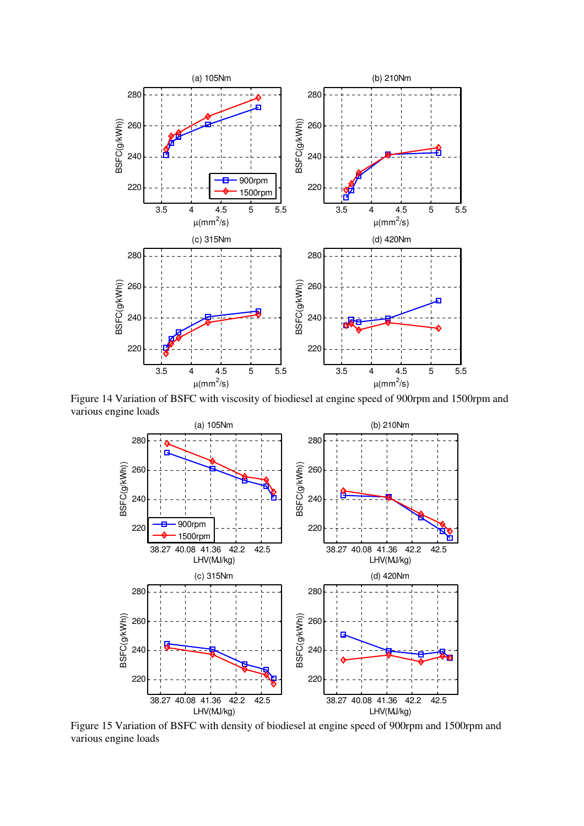

Figure 14 Variation of BSFC with viscosity of biodiesel at engine speed of 900rpm and 1500rpm and various engine loads



Figure 15 Variation of BSFC with density of biodiesel at engine speed of 900rpm and 1500rpm and various engine loads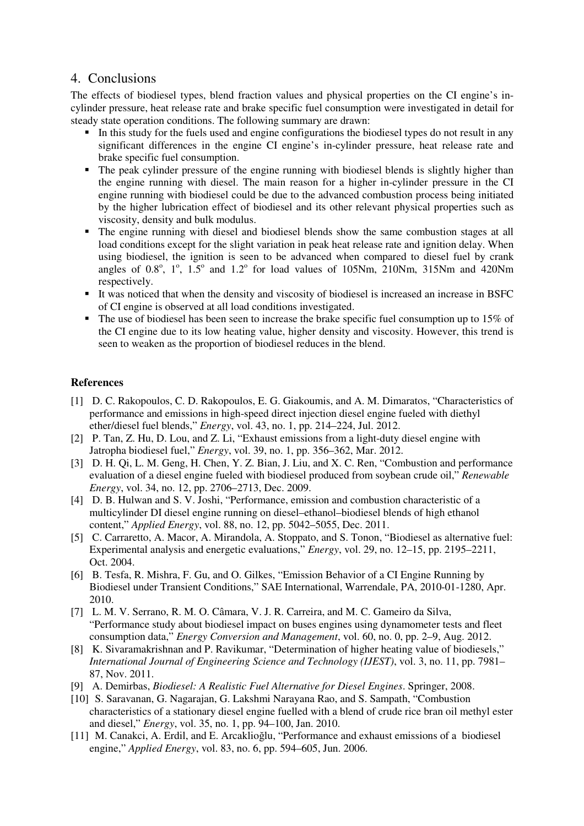#### 4. Conclusions

The effects of biodiesel types, blend fraction values and physical properties on the CI engine's incylinder pressure, heat release rate and brake specific fuel consumption were investigated in detail for steady state operation conditions. The following summary are drawn:

- In this study for the fuels used and engine configurations the biodiesel types do not result in any significant differences in the engine CI engine's in-cylinder pressure, heat release rate and brake specific fuel consumption.
- The peak cylinder pressure of the engine running with biodiesel blends is slightly higher than the engine running with diesel. The main reason for a higher in-cylinder pressure in the CI engine running with biodiesel could be due to the advanced combustion process being initiated by the higher lubrication effect of biodiesel and its other relevant physical properties such as viscosity, density and bulk modulus.
- The engine running with diesel and biodiesel blends show the same combustion stages at all load conditions except for the slight variation in peak heat release rate and ignition delay. When using biodiesel, the ignition is seen to be advanced when compared to diesel fuel by crank angles of  $0.8^\circ$ ,  $1^\circ$ ,  $1.5^\circ$  and  $1.2^\circ$  for load values of  $105Nm$ ,  $210Nm$ ,  $315Nm$  and  $420Nm$ respectively.
- It was noticed that when the density and viscosity of biodiesel is increased an increase in BSFC of CI engine is observed at all load conditions investigated.
- $\blacksquare$  The use of biodiesel has been seen to increase the brake specific fuel consumption up to 15% of the CI engine due to its low heating value, higher density and viscosity. However, this trend is seen to weaken as the proportion of biodiesel reduces in the blend.

#### **References**

- [1] D. C. Rakopoulos, C. D. Rakopoulos, E. G. Giakoumis, and A. M. Dimaratos, "Characteristics of performance and emissions in high-speed direct injection diesel engine fueled with diethyl ether/diesel fuel blends," *Energy*, vol. 43, no. 1, pp. 214–224, Jul. 2012.
- [2] P. Tan, Z. Hu, D. Lou, and Z. Li, "Exhaust emissions from a light-duty diesel engine with Jatropha biodiesel fuel," *Energy*, vol. 39, no. 1, pp. 356–362, Mar. 2012.
- [3] D. H. Qi, L. M. Geng, H. Chen, Y. Z. Bian, J. Liu, and X. C. Ren, "Combustion and performance evaluation of a diesel engine fueled with biodiesel produced from soybean crude oil," *Renewable Energy*, vol. 34, no. 12, pp. 2706–2713, Dec. 2009.
- [4] D. B. Hulwan and S. V. Joshi, "Performance, emission and combustion characteristic of a multicylinder DI diesel engine running on diesel–ethanol–biodiesel blends of high ethanol content," *Applied Energy*, vol. 88, no. 12, pp. 5042–5055, Dec. 2011.
- [5] C. Carraretto, A. Macor, A. Mirandola, A. Stoppato, and S. Tonon, "Biodiesel as alternative fuel: Experimental analysis and energetic evaluations," *Energy*, vol. 29, no. 12–15, pp. 2195–2211, Oct. 2004.
- [6] B. Tesfa, R. Mishra, F. Gu, and O. Gilkes, "Emission Behavior of a CI Engine Running by Biodiesel under Transient Conditions," SAE International, Warrendale, PA, 2010-01-1280, Apr. 2010.
- [7] L. M. V. Serrano, R. M. O. Câmara, V. J. R. Carreira, and M. C. Gameiro da Silva, "Performance study about biodiesel impact on buses engines using dynamometer tests and fleet consumption data," *Energy Conversion and Management*, vol. 60, no. 0, pp. 2–9, Aug. 2012.
- [8] K. Sivaramakrishnan and P. Ravikumar, "Determination of higher heating value of biodiesels," *International Journal of Engineering Science and Technology (IJEST)*, vol. 3, no. 11, pp. 7981– 87, Nov. 2011.
- [9] A. Demirbas, *Biodiesel: A Realistic Fuel Alternative for Diesel Engines*. Springer, 2008.
- [10] S. Saravanan, G. Nagarajan, G. Lakshmi Narayana Rao, and S. Sampath, "Combustion characteristics of a stationary diesel engine fuelled with a blend of crude rice bran oil methyl ester and diesel," *Energy*, vol. 35, no. 1, pp. 94–100, Jan. 2010.
- [11] M. Canakci, A. Erdil, and E. Arcaklioğlu, "Performance and exhaust emissions of a biodiesel engine," *Applied Energy*, vol. 83, no. 6, pp. 594–605, Jun. 2006.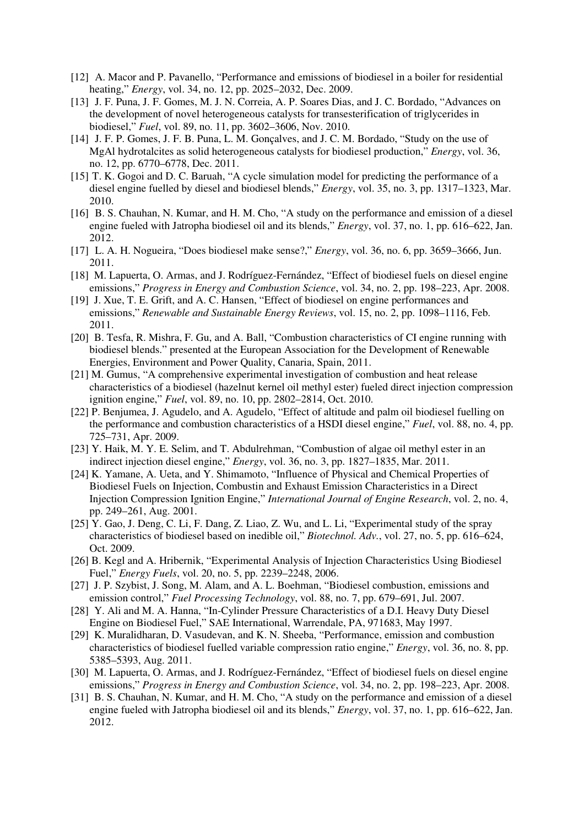- [12] A. Macor and P. Pavanello, "Performance and emissions of biodiesel in a boiler for residential heating," *Energy*, vol. 34, no. 12, pp. 2025–2032, Dec. 2009.
- [13] J. F. Puna, J. F. Gomes, M. J. N. Correia, A. P. Soares Dias, and J. C. Bordado, "Advances on the development of novel heterogeneous catalysts for transesterification of triglycerides in biodiesel," *Fuel*, vol. 89, no. 11, pp. 3602–3606, Nov. 2010.
- [14] J. F. P. Gomes, J. F. B. Puna, L. M. Gonçalves, and J. C. M. Bordado, "Study on the use of MgAl hydrotalcites as solid heterogeneous catalysts for biodiesel production," *Energy*, vol. 36, no. 12, pp. 6770–6778, Dec. 2011.
- [15] T. K. Gogoi and D. C. Baruah, "A cycle simulation model for predicting the performance of a diesel engine fuelled by diesel and biodiesel blends," *Energy*, vol. 35, no. 3, pp. 1317–1323, Mar. 2010.
- [16] B. S. Chauhan, N. Kumar, and H. M. Cho, "A study on the performance and emission of a diesel engine fueled with Jatropha biodiesel oil and its blends," *Energy*, vol. 37, no. 1, pp. 616–622, Jan. 2012.
- [17] L. A. H. Nogueira, "Does biodiesel make sense?," *Energy*, vol. 36, no. 6, pp. 3659–3666, Jun. 2011.
- [18] M. Lapuerta, O. Armas, and J. Rodríguez-Fernández, "Effect of biodiesel fuels on diesel engine emissions," *Progress in Energy and Combustion Science*, vol. 34, no. 2, pp. 198–223, Apr. 2008.
- [19] J. Xue, T. E. Grift, and A. C. Hansen, "Effect of biodiesel on engine performances and emissions," *Renewable and Sustainable Energy Reviews*, vol. 15, no. 2, pp. 1098–1116, Feb. 2011.
- [20] B. Tesfa, R. Mishra, F. Gu, and A. Ball, "Combustion characteristics of CI engine running with biodiesel blends." presented at the European Association for the Development of Renewable Energies, Environment and Power Quality, Canaria, Spain, 2011.
- [21] M. Gumus, "A comprehensive experimental investigation of combustion and heat release characteristics of a biodiesel (hazelnut kernel oil methyl ester) fueled direct injection compression ignition engine," *Fuel*, vol. 89, no. 10, pp. 2802–2814, Oct. 2010.
- [22] P. Benjumea, J. Agudelo, and A. Agudelo, "Effect of altitude and palm oil biodiesel fuelling on the performance and combustion characteristics of a HSDI diesel engine," *Fuel*, vol. 88, no. 4, pp. 725–731, Apr. 2009.
- [23] Y. Haik, M. Y. E. Selim, and T. Abdulrehman, "Combustion of algae oil methyl ester in an indirect injection diesel engine," *Energy*, vol. 36, no. 3, pp. 1827–1835, Mar. 2011.
- [24] K. Yamane, A. Ueta, and Y. Shimamoto, "Influence of Physical and Chemical Properties of Biodiesel Fuels on Injection, Combustin and Exhaust Emission Characteristics in a Direct Injection Compression Ignition Engine," *International Journal of Engine Research*, vol. 2, no. 4, pp. 249–261, Aug. 2001.
- [25] Y. Gao, J. Deng, C. Li, F. Dang, Z. Liao, Z. Wu, and L. Li, "Experimental study of the spray characteristics of biodiesel based on inedible oil," *Biotechnol. Adv.*, vol. 27, no. 5, pp. 616–624, Oct. 2009.
- [26] B. Kegl and A. Hribernik, "Experimental Analysis of Injection Characteristics Using Biodiesel Fuel," *Energy Fuels*, vol. 20, no. 5, pp. 2239–2248, 2006.
- [27] J. P. Szybist, J. Song, M. Alam, and A. L. Boehman, "Biodiesel combustion, emissions and emission control," *Fuel Processing Technology*, vol. 88, no. 7, pp. 679–691, Jul. 2007.
- [28] Y. Ali and M. A. Hanna, "In-Cylinder Pressure Characteristics of a D.I. Heavy Duty Diesel Engine on Biodiesel Fuel," SAE International, Warrendale, PA, 971683, May 1997.
- [29] K. Muralidharan, D. Vasudevan, and K. N. Sheeba, "Performance, emission and combustion characteristics of biodiesel fuelled variable compression ratio engine," *Energy*, vol. 36, no. 8, pp. 5385–5393, Aug. 2011.
- [30] M. Lapuerta, O. Armas, and J. Rodríguez-Fernández, "Effect of biodiesel fuels on diesel engine emissions," *Progress in Energy and Combustion Science*, vol. 34, no. 2, pp. 198–223, Apr. 2008.
- [31] B. S. Chauhan, N. Kumar, and H. M. Cho, "A study on the performance and emission of a diesel engine fueled with Jatropha biodiesel oil and its blends," *Energy*, vol. 37, no. 1, pp. 616–622, Jan. 2012.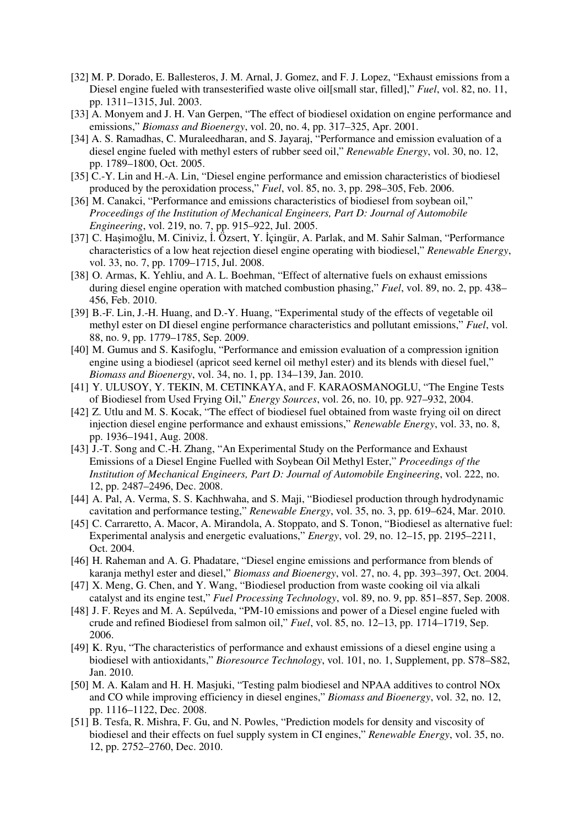- [32] M. P. Dorado, E. Ballesteros, J. M. Arnal, J. Gomez, and F. J. Lopez, "Exhaust emissions from a Diesel engine fueled with transesterified waste olive oil[small star, filled]," *Fuel*, vol. 82, no. 11, pp. 1311–1315, Jul. 2003.
- [33] A. Monyem and J. H. Van Gerpen, "The effect of biodiesel oxidation on engine performance and emissions," *Biomass and Bioenergy*, vol. 20, no. 4, pp. 317–325, Apr. 2001.
- [34] A. S. Ramadhas, C. Muraleedharan, and S. Jayaraj, "Performance and emission evaluation of a diesel engine fueled with methyl esters of rubber seed oil," *Renewable Energy*, vol. 30, no. 12, pp. 1789–1800, Oct. 2005.
- [35] C.-Y. Lin and H.-A. Lin, "Diesel engine performance and emission characteristics of biodiesel produced by the peroxidation process," *Fuel*, vol. 85, no. 3, pp. 298–305, Feb. 2006.
- [36] M. Canakci, "Performance and emissions characteristics of biodiesel from soybean oil," *Proceedings of the Institution of Mechanical Engineers, Part D: Journal of Automobile Engineering*, vol. 219, no. 7, pp. 915–922, Jul. 2005.
- [37] C. Haşimoğlu, M. Ciniviz, İ. Özsert, Y. İçingür, A. Parlak, and M. Sahir Salman, "Performance characteristics of a low heat rejection diesel engine operating with biodiesel," *Renewable Energy*, vol. 33, no. 7, pp. 1709–1715, Jul. 2008.
- [38] O. Armas, K. Yehliu, and A. L. Boehman, "Effect of alternative fuels on exhaust emissions during diesel engine operation with matched combustion phasing," *Fuel*, vol. 89, no. 2, pp. 438– 456, Feb. 2010.
- [39] B.-F. Lin, J.-H. Huang, and D.-Y. Huang, "Experimental study of the effects of vegetable oil methyl ester on DI diesel engine performance characteristics and pollutant emissions," *Fuel*, vol. 88, no. 9, pp. 1779–1785, Sep. 2009.
- [40] M. Gumus and S. Kasifoglu, "Performance and emission evaluation of a compression ignition engine using a biodiesel (apricot seed kernel oil methyl ester) and its blends with diesel fuel," *Biomass and Bioenergy*, vol. 34, no. 1, pp. 134–139, Jan. 2010.
- [41] Y. ULUSOY, Y. TEKIN, M. CETINKAYA, and F. KARAOSMANOGLU, "The Engine Tests of Biodiesel from Used Frying Oil," *Energy Sources*, vol. 26, no. 10, pp. 927–932, 2004.
- [42] Z. Utlu and M. S. Kocak, "The effect of biodiesel fuel obtained from waste frying oil on direct injection diesel engine performance and exhaust emissions," *Renewable Energy*, vol. 33, no. 8, pp. 1936–1941, Aug. 2008.
- [43] J.-T. Song and C.-H. Zhang, "An Experimental Study on the Performance and Exhaust Emissions of a Diesel Engine Fuelled with Soybean Oil Methyl Ester," *Proceedings of the Institution of Mechanical Engineers, Part D: Journal of Automobile Engineering*, vol. 222, no. 12, pp. 2487–2496, Dec. 2008.
- [44] A. Pal, A. Verma, S. S. Kachhwaha, and S. Maji, "Biodiesel production through hydrodynamic cavitation and performance testing," *Renewable Energy*, vol. 35, no. 3, pp. 619–624, Mar. 2010.
- [45] C. Carraretto, A. Macor, A. Mirandola, A. Stoppato, and S. Tonon, "Biodiesel as alternative fuel: Experimental analysis and energetic evaluations," *Energy*, vol. 29, no. 12–15, pp. 2195–2211, Oct. 2004.
- [46] H. Raheman and A. G. Phadatare, "Diesel engine emissions and performance from blends of karanja methyl ester and diesel," *Biomass and Bioenergy*, vol. 27, no. 4, pp. 393–397, Oct. 2004.
- [47] X. Meng, G. Chen, and Y. Wang, "Biodiesel production from waste cooking oil via alkali catalyst and its engine test," *Fuel Processing Technology*, vol. 89, no. 9, pp. 851–857, Sep. 2008.
- [48] J. F. Reyes and M. A. Sepúlveda, "PM-10 emissions and power of a Diesel engine fueled with crude and refined Biodiesel from salmon oil," *Fuel*, vol. 85, no. 12–13, pp. 1714–1719, Sep. 2006.
- [49] K. Ryu, "The characteristics of performance and exhaust emissions of a diesel engine using a biodiesel with antioxidants," *Bioresource Technology*, vol. 101, no. 1, Supplement, pp. S78–S82, Jan. 2010.
- [50] M. A. Kalam and H. H. Masjuki, "Testing palm biodiesel and NPAA additives to control NOx and CO while improving efficiency in diesel engines," *Biomass and Bioenergy*, vol. 32, no. 12, pp. 1116–1122, Dec. 2008.
- [51] B. Tesfa, R. Mishra, F. Gu, and N. Powles, "Prediction models for density and viscosity of biodiesel and their effects on fuel supply system in CI engines," *Renewable Energy*, vol. 35, no. 12, pp. 2752–2760, Dec. 2010.